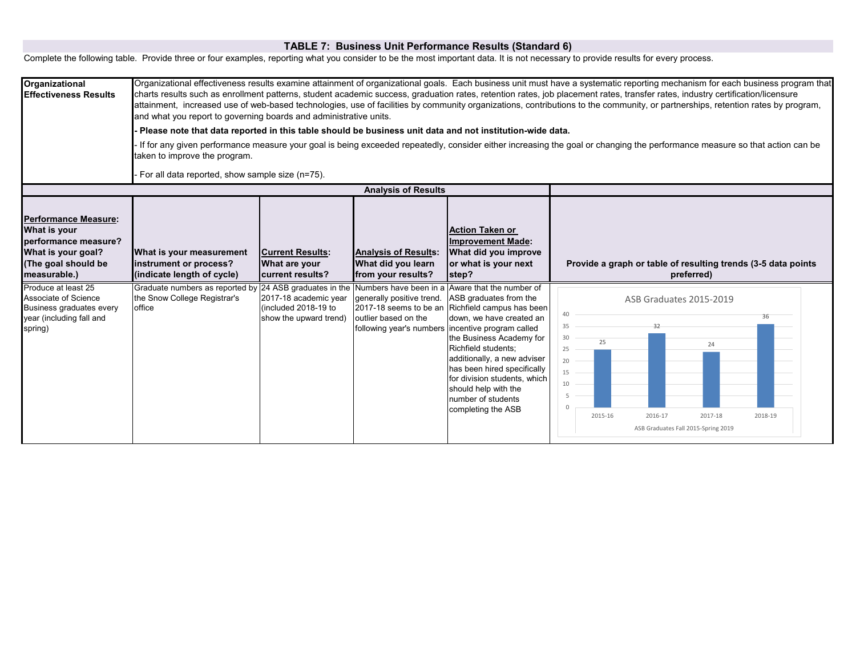## **TABLE 7: Business Unit Performance Results (Standard 6)**

Complete the following table. Provide three or four examples, reporting what you consider to be the most important data. It is not necessary to provide results for every process.

| Organizational<br><b>Effectiveness Results</b>                                                                                                                                                                                                     | Organizational effectiveness results examine attainment of organizational goals. Each business unit must have a systematic reporting mechanism for each business program that<br>charts results such as enrollment patterns, student academic success, graduation rates, retention rates, job placement rates, transfer rates, industry certification/licensure<br>attainment, increased use of web-based technologies, use of facilities by community organizations, contributions to the community, or partnerships, retention rates by program,<br>and what you report to governing boards and administrative units.<br>Please note that data reported in this table should be business unit data and not institution-wide data.<br>If for any given performance measure your goal is being exceeded repeatedly, consider either increasing the goal or changing the performance measure so that action can be<br>taken to improve the program. |                                                                                                                                         |                                                                                                                                                        |                                                                                                                                                                                                                                                                                                                                                                                                                                                                                                                             |                                                                                                                                                                                                                                                                              |  |  |
|----------------------------------------------------------------------------------------------------------------------------------------------------------------------------------------------------------------------------------------------------|----------------------------------------------------------------------------------------------------------------------------------------------------------------------------------------------------------------------------------------------------------------------------------------------------------------------------------------------------------------------------------------------------------------------------------------------------------------------------------------------------------------------------------------------------------------------------------------------------------------------------------------------------------------------------------------------------------------------------------------------------------------------------------------------------------------------------------------------------------------------------------------------------------------------------------------------------|-----------------------------------------------------------------------------------------------------------------------------------------|--------------------------------------------------------------------------------------------------------------------------------------------------------|-----------------------------------------------------------------------------------------------------------------------------------------------------------------------------------------------------------------------------------------------------------------------------------------------------------------------------------------------------------------------------------------------------------------------------------------------------------------------------------------------------------------------------|------------------------------------------------------------------------------------------------------------------------------------------------------------------------------------------------------------------------------------------------------------------------------|--|--|
|                                                                                                                                                                                                                                                    | For all data reported, show sample size (n=75).<br><b>Analysis of Results</b>                                                                                                                                                                                                                                                                                                                                                                                                                                                                                                                                                                                                                                                                                                                                                                                                                                                                      |                                                                                                                                         |                                                                                                                                                        |                                                                                                                                                                                                                                                                                                                                                                                                                                                                                                                             |                                                                                                                                                                                                                                                                              |  |  |
| <b>Performance Measure:</b><br>What is your<br>performance measure?<br>What is your goal?<br>(The goal should be<br>measurable.)<br>Produce at least 25<br>Associate of Science<br>Business graduates every<br>year (including fall and<br>spring) | What is your measurement<br>instrument or process?<br>(indicate length of cycle)<br>Graduate numbers as reported by 24 ASB graduates in the<br>the Snow College Registrar's<br>office                                                                                                                                                                                                                                                                                                                                                                                                                                                                                                                                                                                                                                                                                                                                                              | <b>Current Results:</b><br>What are your<br>current results?<br>2017-18 academic year<br>(included 2018-19 to<br>show the upward trend) | <b>Analysis of Results:</b><br>What did you learn<br>from your results?<br>generally positive trend.<br>2017-18 seems to be an<br>outlier based on the | <b>Action Taken or</b><br><b>Improvement Made:</b><br>What did you improve<br>or what is your next<br>step?<br>Numbers have been in a Aware that the number of<br>ASB graduates from the<br>Richfield campus has been<br>down, we have created an<br>following year's numbers incentive program called<br>the Business Academy for<br>Richfield students;<br>additionally, a new adviser<br>has been hired specifically<br>for division students, which<br>should help with the<br>number of students<br>completing the ASB | Provide a graph or table of resulting trends (3-5 data points<br>preferred)<br>ASB Graduates 2015-2019<br>40<br>36<br>35<br>32<br>30<br>25<br>24<br>25<br>20<br>15<br>10<br>5<br>$\Omega$<br>2016-17<br>2017-18<br>2015-16<br>2018-19<br>ASB Graduates Fall 2015-Spring 2019 |  |  |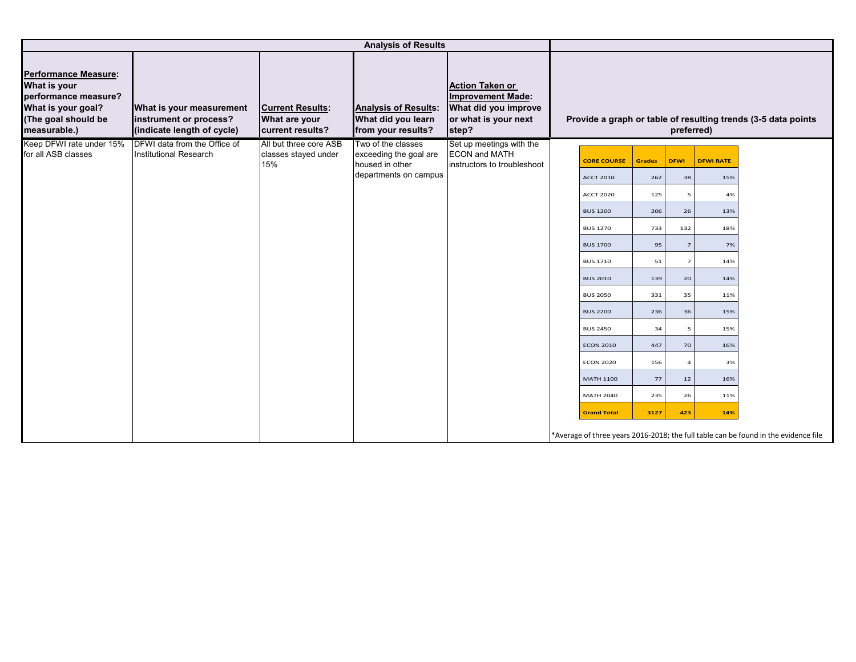| <b>Analysis of Results</b>                                                                                                       |                                                                                  |                                                              |                                                                         |                                                                                                             |                    |               |                |                  |                                                                                     |
|----------------------------------------------------------------------------------------------------------------------------------|----------------------------------------------------------------------------------|--------------------------------------------------------------|-------------------------------------------------------------------------|-------------------------------------------------------------------------------------------------------------|--------------------|---------------|----------------|------------------|-------------------------------------------------------------------------------------|
| <b>Performance Measure:</b><br>What is your<br>performance measure?<br>What is your goal?<br>(The goal should be<br>measurable.) | What is your measurement<br>instrument or process?<br>(indicate length of cycle) | <b>Current Results:</b><br>What are your<br>current results? | <b>Analysis of Results:</b><br>What did you learn<br>from your results? | <b>Action Taken or</b><br><b>Improvement Made:</b><br>What did you improve<br>or what is your next<br>step? |                    |               | preferred)     |                  | Provide a graph or table of resulting trends (3-5 data points                       |
| Keep DFWI rate under 15%<br>for all ASB classes                                                                                  | <b>DFWI</b> data from the Office of<br><b>Institutional Research</b>             | All but three core ASB<br>classes stayed under               | Two of the classes<br>exceeding the goal are                            | Set up meetings with the<br><b>ECON and MATH</b>                                                            |                    |               |                |                  |                                                                                     |
|                                                                                                                                  |                                                                                  | 15%                                                          | housed in other                                                         | instructors to troubleshoot                                                                                 | <b>CORE COURSE</b> | <b>Grades</b> | <b>DFWI</b>    | <b>DFWI RATE</b> |                                                                                     |
|                                                                                                                                  |                                                                                  |                                                              | departments on campus                                                   |                                                                                                             | <b>ACCT 2010</b>   | 262           | 38             | 15%              |                                                                                     |
|                                                                                                                                  |                                                                                  |                                                              |                                                                         |                                                                                                             | <b>ACCT 2020</b>   | 125           |                | 4%               |                                                                                     |
|                                                                                                                                  |                                                                                  |                                                              |                                                                         |                                                                                                             | <b>BUS 1200</b>    | 206           | 26             | 13%              |                                                                                     |
|                                                                                                                                  |                                                                                  |                                                              |                                                                         |                                                                                                             | <b>BUS 1270</b>    | 733           | 132            | 18%              |                                                                                     |
|                                                                                                                                  |                                                                                  |                                                              |                                                                         |                                                                                                             | <b>BUS 1700</b>    | 95            | $\overline{7}$ | 7%               |                                                                                     |
|                                                                                                                                  |                                                                                  |                                                              |                                                                         |                                                                                                             | <b>BUS 1710</b>    | 51            | $\overline{7}$ | 14%              |                                                                                     |
|                                                                                                                                  |                                                                                  |                                                              |                                                                         |                                                                                                             | <b>BUS 2010</b>    | 139           | 20             | 14%              |                                                                                     |
|                                                                                                                                  |                                                                                  |                                                              |                                                                         |                                                                                                             | <b>BUS 2050</b>    | 331           | 35             | 11%              |                                                                                     |
|                                                                                                                                  |                                                                                  |                                                              |                                                                         |                                                                                                             | <b>BUS 2200</b>    | 236           | 36             | 15%              |                                                                                     |
|                                                                                                                                  |                                                                                  |                                                              |                                                                         |                                                                                                             | <b>BUS 2450</b>    | 34            | 5              | 15%              |                                                                                     |
|                                                                                                                                  |                                                                                  |                                                              |                                                                         |                                                                                                             | <b>ECON 2010</b>   | 447           | 70             | 16%              |                                                                                     |
|                                                                                                                                  |                                                                                  |                                                              |                                                                         |                                                                                                             | <b>ECON 2020</b>   | 156           | $\overline{a}$ | 3%               |                                                                                     |
|                                                                                                                                  |                                                                                  |                                                              |                                                                         |                                                                                                             | <b>MATH 1100</b>   | 77            | 12             | 16%              |                                                                                     |
|                                                                                                                                  |                                                                                  |                                                              |                                                                         |                                                                                                             | <b>MATH 2040</b>   | 235           | 26             | 11%              |                                                                                     |
|                                                                                                                                  |                                                                                  |                                                              |                                                                         |                                                                                                             | <b>Grand Total</b> | 3127          | 423            | 14%              |                                                                                     |
|                                                                                                                                  |                                                                                  |                                                              |                                                                         |                                                                                                             |                    |               |                |                  | *Average of three years 2016-2018; the full table can be found in the evidence file |